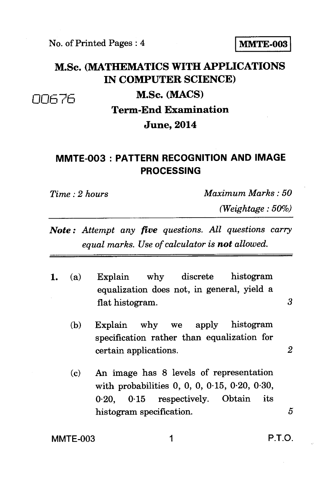## M.Sc. **(MATHEMATICS WITH APPLICATIONS IN COMPUTER SCIENCE)**  00676 **M.Sc. (MACS) Term-End Examination**

## **June, 2014**

## **MMTE-003 : PATTERN RECOGNITION AND IMAGE PROCESSING**

*Time : 2 hours Maximum Marks : 50* 

*(Weightage : 50%)* 

- *Note : Attempt any five questions. All questions carry equal marks. Use of calculator is not allowed.*
- **1.** (a) Explain why discrete histogram equalization does not, in general, yield a flat histogram. 3
	- (b) Explain why we apply histogram specification rather than equalization for certain applications. *2*
	- **(c)**  An image has 8 levels of representation with probabilities 0, 0, 0, 0.15, 0.20, 0.30, 0.20, 0.15 respectively. Obtain its histogram specification. 5

MMTE-003 1 P.T.O.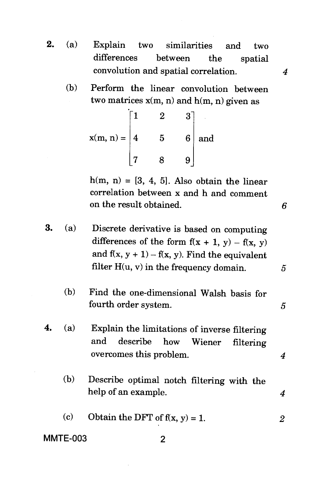- **2.** (a) Explain two similarities and two differences between the spatial convolution and spatial correlation. *4* 
	- (b) Perform the linear convolution between two matrices  $x(m, n)$  and  $h(m, n)$  given as

 $x(m, n) =$  $\lceil 1 \rceil$ 4 7 2 5 8  $3^{1}$ 6 9 and

 $h(m, n) = [3, 4, 5]$ . Also obtain the linear correlation between x and h and comment on the result obtained. *6* 

- 3. (a) Discrete derivative is based on computing differences of the form  $f(x + 1, y) - f(x, y)$ and  $f(x, y + 1) - f(x, y)$ . Find the equivalent filter H(u, v) in the frequency domain. *5*  (b) Find the one-dimensional Walsh basis for fourth order system. 5 4. (a) Explain the limitations of inverse filtering and describe how Wiener filtering overcomes this problem. *4*  (b) Describe optimal notch filtering with the help of an example. *4*  (c) Obtain the DFT of  $f(x, y) = 1$ . 2
- **MMTE-003** 2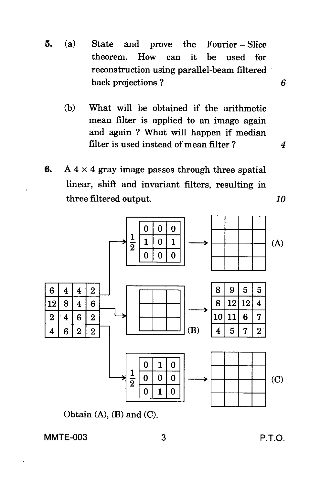- 5. (a) State and prove the Fourier Slice theorem. How can it be used for reconstruction using parallel-beam filtered back projections ?
	- (b) What will be obtained if the arithmetic mean filter is applied to an image again and again ? What will happen if median filter is used instead of mean filter ?
- 6. A  $4 \times 4$  gray image passes through three spatial linear, shift and invariant filters, resulting in three filtered output.



Obtain  $(A)$ ,  $(B)$  and  $(C)$ .

MMTE-003 3 P.T.O.

*4* 

6

*10*